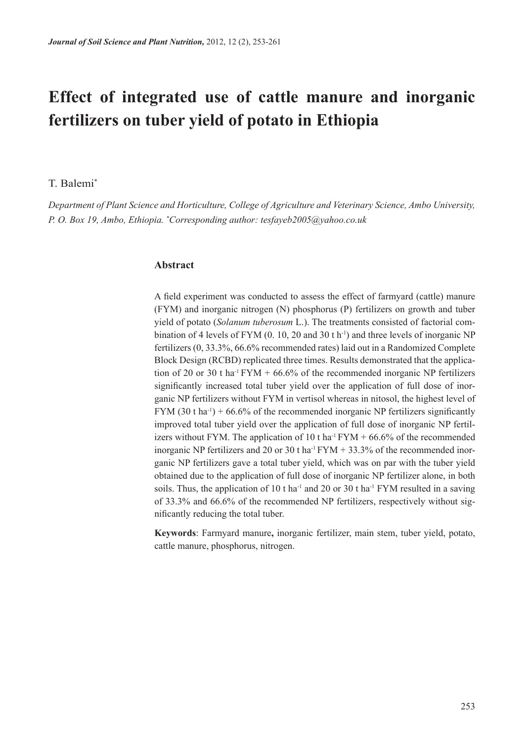# **Effect of integrated use of cattle manure and inorganic fertilizers on tuber yield of potato in Ethiopia**

# T. Balemi\*

*Department of Plant Science and Horticulture, College of Agriculture and Veterinary Science, Ambo University, P. O. Box 19, Ambo, Ethiopia. \* Corresponding author: tesfayeb2005@yahoo.co.uk*

## **Abstract**

A field experiment was conducted to assess the effect of farmyard (cattle) manure (FYM) and inorganic nitrogen (N) phosphorus (P) fertilizers on growth and tuber yield of potato (*Solanum tuberosum* L.). The treatments consisted of factorial combination of 4 levels of FYM  $(0, 10, 20, 30, t h^{-1})$  and three levels of inorganic NP fertilizers (0, 33.3%, 66.6% recommended rates) laid out in a Randomized Complete Block Design (RCBD) replicated three times. Results demonstrated that the application of 20 or 30 t ha<sup>-1</sup> FYM + 66.6% of the recommended inorganic NP fertilizers significantly increased total tuber yield over the application of full dose of inorganic NP fertilizers without FYM in vertisol whereas in nitosol, the highest level of FYM (30 t ha<sup>-1</sup>) + 66.6% of the recommended inorganic NP fertilizers significantly improved total tuber yield over the application of full dose of inorganic NP fertilizers without FYM. The application of 10 t ha<sup>-1</sup> FYM + 66.6% of the recommended inorganic NP fertilizers and 20 or 30 t ha<sup>-1</sup>  $\text{FYM} + 33.3\%$  of the recommended inorganic NP fertilizers gave a total tuber yield, which was on par with the tuber yield obtained due to the application of full dose of inorganic NP fertilizer alone, in both soils. Thus, the application of 10 t ha<sup>-1</sup> and 20 or 30 t ha<sup>-1</sup> FYM resulted in a saving of 33.3% and 66.6% of the recommended NP fertilizers, respectively without significantly reducing the total tuber.

**Keywords**: Farmyard manure**,** inorganic fertilizer, main stem, tuber yield, potato, cattle manure, phosphorus, nitrogen.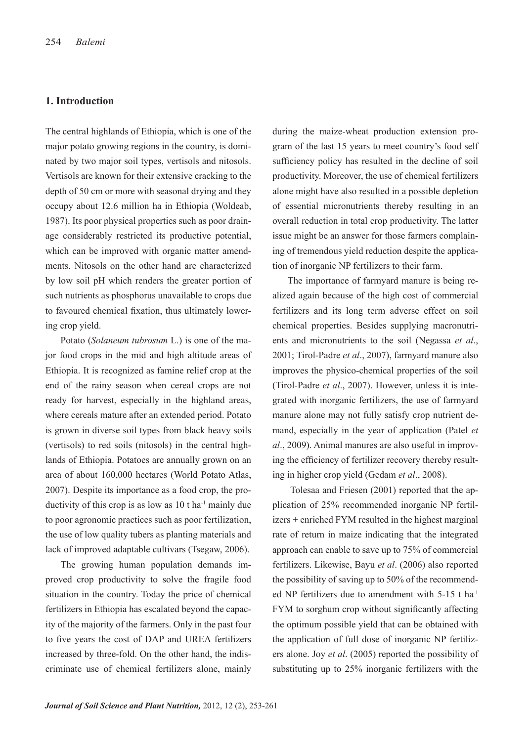## **1. Introduction**

The central highlands of Ethiopia, which is one of the major potato growing regions in the country, is dominated by two major soil types, vertisols and nitosols. Vertisols are known for their extensive cracking to the depth of 50 cm or more with seasonal drying and they occupy about 12.6 million ha in Ethiopia (Woldeab, 1987). Its poor physical properties such as poor drainage considerably restricted its productive potential, which can be improved with organic matter amendments. Nitosols on the other hand are characterized by low soil pH which renders the greater portion of such nutrients as phosphorus unavailable to crops due to favoured chemical fixation, thus ultimately lowering crop yield.

Potato (*Solaneum tubrosum* L.) is one of the major food crops in the mid and high altitude areas of Ethiopia. It is recognized as famine relief crop at the end of the rainy season when cereal crops are not ready for harvest, especially in the highland areas, where cereals mature after an extended period. Potato is grown in diverse soil types from black heavy soils (vertisols) to red soils (nitosols) in the central highlands of Ethiopia. Potatoes are annually grown on an area of about 160,000 hectares (World Potato Atlas, 2007). Despite its importance as a food crop, the productivity of this crop is as low as  $10$  t ha<sup>-1</sup> mainly due to poor agronomic practices such as poor fertilization, the use of low quality tubers as planting materials and lack of improved adaptable cultivars (Tsegaw, 2006).

The growing human population demands improved crop productivity to solve the fragile food situation in the country. Today the price of chemical fertilizers in Ethiopia has escalated beyond the capacity of the majority of the farmers. Only in the past four to five years the cost of DAP and UREA fertilizers increased by three-fold. On the other hand, the indiscriminate use of chemical fertilizers alone, mainly during the maize-wheat production extension program of the last 15 years to meet country's food self sufficiency policy has resulted in the decline of soil productivity. Moreover, the use of chemical fertilizers alone might have also resulted in a possible depletion of essential micronutrients thereby resulting in an overall reduction in total crop productivity. The latter issue might be an answer for those farmers complaining of tremendous yield reduction despite the application of inorganic NP fertilizers to their farm.

The importance of farmyard manure is being realized again because of the high cost of commercial fertilizers and its long term adverse effect on soil chemical properties. Besides supplying macronutrients and micronutrients to the soil (Negassa *et al*., 2001; Tirol-Padre *et al*., 2007), farmyard manure also improves the physico-chemical properties of the soil (Tirol-Padre *et al*., 2007). However, unless it is integrated with inorganic fertilizers, the use of farmyard manure alone may not fully satisfy crop nutrient demand, especially in the year of application (Patel *et al*., 2009). Animal manures are also useful in improving the efficiency of fertilizer recovery thereby resulting in higher crop yield (Gedam *et al*., 2008).

 Tolesaa and Friesen (2001) reported that the application of 25% recommended inorganic NP fertilizers + enriched FYM resulted in the highest marginal rate of return in maize indicating that the integrated approach can enable to save up to 75% of commercial fertilizers. Likewise, Bayu *et al*. (2006) also reported the possibility of saving up to 50% of the recommended NP fertilizers due to amendment with 5-15 t ha-1 FYM to sorghum crop without significantly affecting the optimum possible yield that can be obtained with the application of full dose of inorganic NP fertilizers alone. Joy *et al*. (2005) reported the possibility of substituting up to 25% inorganic fertilizers with the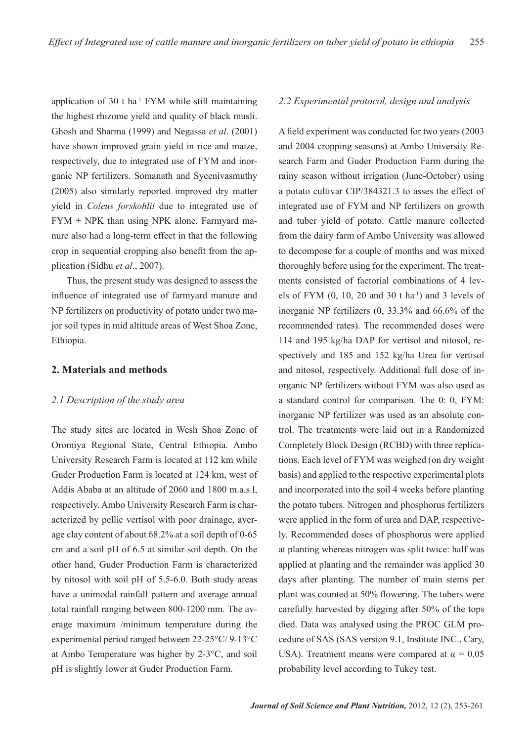application of 30  $t$  ha<sup>-1</sup> FYM while still maintaining the highest rhizome yield and quality of black musli. Ghosh and Sharma (1999) and Negassa *et al*. (2001) have shown improved grain yield in rice and maize, respectively, due to integrated use of FYM and inorganic NP fertilizers. Somanath and Syeenivasmuthy (2005) also similarly reported improved dry matter yield in *Coleus forskohlii* due to integrated use of FYM + NPK than using NPK alone. Farmyard manure also had a long-term effect in that the following crop in sequential cropping also benefit from the application (Sidhu *et al*., 2007).

Thus, the present study was designed to assess the influence of integrated use of farmyard manure and NP fertilizers on productivity of potato under two major soil types in mid altitude areas of West Shoa Zone, Ethiopia.

## **2. Materials and methods**

#### *2.1 Description of the study area*

The study sites are located in Wesh Shoa Zone of Oromiya Regional State, Central Ethiopia. Ambo University Research Farm is located at 112 km while Guder Production Farm is located at 124 km, west of Addis Ababa at an altitude of 2060 and 1800 m.a.s.l, respectively. Ambo University Research Farm is characterized by pellic vertisol with poor drainage, average clay content of about 68.2% at a soil depth of 0-65 cm and a soil pH of 6.5 at similar soil depth. On the other hand, Guder Production Farm is characterized by nitosol with soil pH of 5.5-6.0. Both study areas have a unimodal rainfall pattern and average annual total rainfall ranging between 800-1200 mm. The average maximum /minimum temperature during the experimental period ranged between 22-25°C/ 9-13°C at Ambo Temperature was higher by 2-3°C, and soil pH is slightly lower at Guder Production Farm.

## *2.2 Experimental protocol, design and analysis*

A field experiment was conducted for two years (2003 and 2004 cropping seasons) at Ambo University Research Farm and Guder Production Farm during the rainy season without irrigation (June-October) using a potato cultivar CIP/384321.3 to asses the effect of integrated use of FYM and NP fertilizers on growth and tuber yield of potato. Cattle manure collected from the dairy farm of Ambo University was allowed to decompose for a couple of months and was mixed thoroughly before using for the experiment. The treatments consisted of factorial combinations of 4 levels of FYM  $(0, 10, 20$  and  $30$  t ha<sup>-1</sup>) and 3 levels of inorganic NP fertilizers (0, 33.3% and 66.6% of the recommended rates). The recommended doses were 114 and 195 kg/ha DAP for vertisol and nitosol, respectively and 185 and 152 kg/ha Urea for vertisol and nitosol, respectively. Additional full dose of inorganic NP fertilizers without FYM was also used as a standard control for comparison. The 0: 0, FYM: inorganic NP fertilizer was used as an absolute control. The treatments were laid out in a Randomized Completely Block Design (RCBD) with three replications. Each level of FYM was weighed (on dry weight basis) and applied to the respective experimental plots and incorporated into the soil 4 weeks before planting the potato tubers. Nitrogen and phosphorus fertilizers were applied in the form of urea and DAP, respectively. Recommended doses of phosphorus were applied at planting whereas nitrogen was split twice: half was applied at planting and the remainder was applied 30 days after planting. The number of main stems per plant was counted at 50% flowering. The tubers were carefully harvested by digging after 50% of the tops died. Data was analysed using the PROC GLM procedure of SAS (SAS version 9.1, Institute INC., Cary, USA). Treatment means were compared at  $\alpha = 0.05$ probability level according to Tukey test.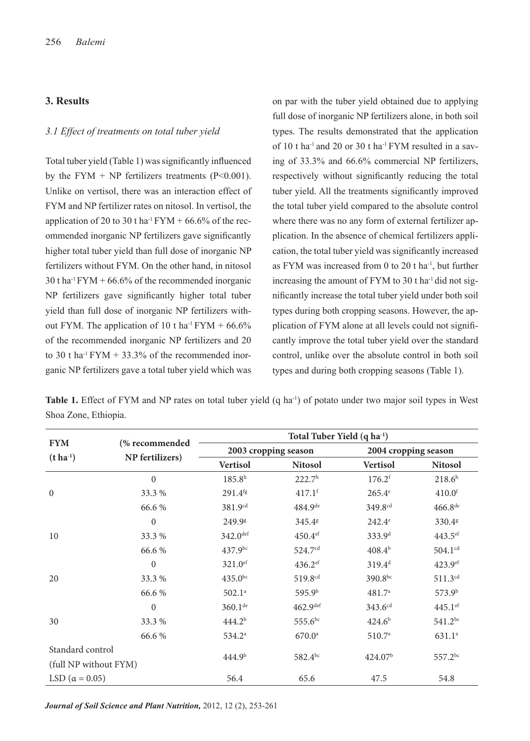## **3. Results**

### *3.1 Effect of treatments on total tuber yield*

Total tuber yield (Table 1) was significantly influenced by the FYM + NP fertilizers treatments  $(P<0.001)$ . Unlike on vertisol, there was an interaction effect of FYM and NP fertilizer rates on nitosol. In vertisol, the application of 20 to 30 t ha<sup>-1</sup> FYM + 66.6% of the recommended inorganic NP fertilizers gave significantly higher total tuber yield than full dose of inorganic NP fertilizers without FYM. On the other hand, in nitosol  $30$  t ha<sup>-1</sup> FYM + 66.6% of the recommended inorganic NP fertilizers gave significantly higher total tuber yield than full dose of inorganic NP fertilizers without FYM. The application of 10 t ha<sup>-1</sup> FYM +  $66.6\%$ of the recommended inorganic NP fertilizers and 20 to 30 t ha<sup>-1</sup> FYM  $+$  33.3% of the recommended inorganic NP fertilizers gave a total tuber yield which was

on par with the tuber yield obtained due to applying full dose of inorganic NP fertilizers alone, in both soil types. The results demonstrated that the application of 10 t ha-1 and 20 or 30 t ha-1 FYM resulted in a saving of 33.3% and 66.6% commercial NP fertilizers, respectively without significantly reducing the total tuber yield. All the treatments significantly improved the total tuber yield compared to the absolute control where there was no any form of external fertilizer application. In the absence of chemical fertilizers application, the total tuber yield was significantly increased as FYM was increased from 0 to 20 t ha-1, but further increasing the amount of FYM to 30 t ha<sup>-1</sup> did not significantly increase the total tuber yield under both soil types during both cropping seasons. However, the application of FYM alone at all levels could not significantly improve the total tuber yield over the standard control, unlike over the absolute control in both soil types and during both cropping seasons (Table 1).

**Table 1.** Effect of FYM and NP rates on total tuber yield (q ha<sup>-1</sup>) of potato under two major soil types in West Shoa Zone, Ethiopia.

| <b>FYM</b><br>$(t \, ha^{-1})$ | (% recommended<br>NP fertilizers) | Total Tuber Yield (q ha <sup>-1</sup> ) |                       |                      |                       |  |
|--------------------------------|-----------------------------------|-----------------------------------------|-----------------------|----------------------|-----------------------|--|
|                                |                                   | 2003 cropping season                    |                       | 2004 cropping season |                       |  |
|                                |                                   | <b>Vertisol</b>                         | <b>Nitosol</b>        | <b>Vertisol</b>      | <b>Nitosol</b>        |  |
| $\mathbf{0}$                   | $\boldsymbol{0}$                  | 185.8 <sup>h</sup>                      | 222.7 <sup>h</sup>    | $176.2$ <sup>f</sup> | 218.6 <sup>h</sup>    |  |
|                                | 33.3 %                            | $291.4$ <sup>fg</sup>                   | $417.1^{f}$           | $265.4^e$            | 410.0 <sup>f</sup>    |  |
|                                | 66.6%                             | 381.9cd                                 | $484.9^{de}$          | 349.8 <sup>cd</sup>  | $466.8^{de}$          |  |
| 10                             | $\mathbf{0}$                      | 249.98                                  | 345.48                | $242.4^e$            | 330.48                |  |
|                                | 33.3 %                            | $342.0$ def                             | $450.4$ <sup>ef</sup> | 333.9 <sup>d</sup>   | $443.5$ <sup>ef</sup> |  |
|                                | 66.6%                             | $437.9^{bc}$                            | 524.7 <sup>cd</sup>   | $408.4^{b}$          | $504.1$ <sup>cd</sup> |  |
| 20                             | $\mathbf{0}$                      | 321.0ef                                 | $436.2$ <sup>ef</sup> | 319.4 <sup>d</sup>   | 423.9 <sup>ef</sup>   |  |
|                                | 33.3 %                            | $435.0^{bc}$                            | 519.8 <sup>cd</sup>   | $390.8^{bc}$         | 511.3 <sup>cd</sup>   |  |
|                                | 66.6%                             | 502.1a                                  | 595.9 <sup>b</sup>    | 481.7 <sup>a</sup>   | 573.9 <sup>b</sup>    |  |
| 30                             | $\mathbf{0}$                      | $360.1$ <sup>de</sup>                   | 462.9 <sup>def</sup>  | 343.6 <sup>cd</sup>  | $445.1$ <sup>ef</sup> |  |
|                                | 33.3 %                            | 444.2 <sup>b</sup>                      | 555.6bc               | $424.6^{b}$          | $541.2^{bc}$          |  |
|                                | 66.6%                             | $534.2^a$                               | 670.0 <sup>a</sup>    | 510.7 <sup>a</sup>   | $631.1^a$             |  |
| Standard control               |                                   | 444.9 <sup>b</sup>                      |                       | 424.07 <sup>b</sup>  | $557.2^{bc}$          |  |
| (full NP without FYM)          |                                   |                                         | 582.4bc               |                      |                       |  |
| LSD ( $\alpha$ = 0.05)         |                                   | 56.4                                    | 65.6                  | 47.5                 | 54.8                  |  |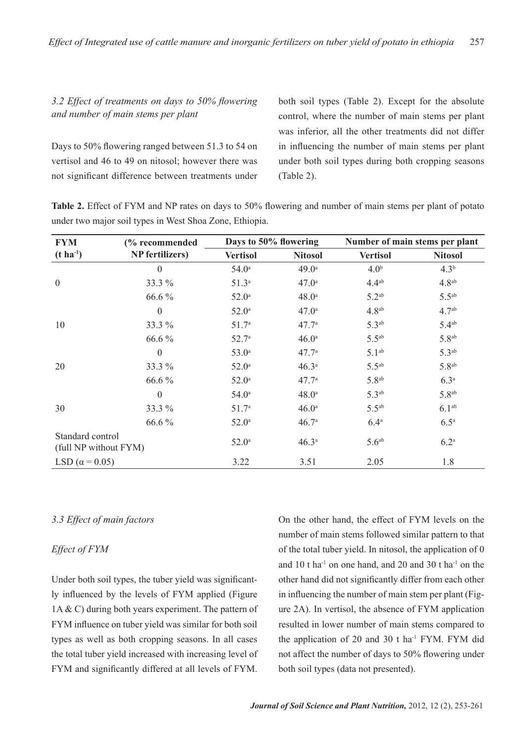## *3.2 Effect of treatments on days to 50% flowering and number of main stems per plant*

Days to 50% flowering ranged between 51.3 to 54 on vertisol and 46 to 49 on nitosol; however there was not significant difference between treatments under both soil types (Table 2). Except for the absolute control, where the number of main stems per plant was inferior, all the other treatments did not differ in influencing the number of main stems per plant under both soil types during both cropping seasons (Table 2).

**Table 2.** Effect of FYM and NP rates on days to 50% flowering and number of main stems per plant of potato under two major soil types in West Shoa Zone, Ethiopia.

| <b>FYM</b>                                | (% recommended<br>NP fertilizers) | Days to 50% flowering |                   | Number of main stems per plant |                   |
|-------------------------------------------|-----------------------------------|-----------------------|-------------------|--------------------------------|-------------------|
| $(t \, ha^{-1})$                          |                                   | <b>Vertisol</b>       | <b>Nitosol</b>    | <b>Vertisol</b>                | <b>Nitosol</b>    |
| $\theta$                                  | $\mathbf{0}$                      | $54.0^{\circ}$        | 49.0 <sup>a</sup> | 4.0 <sup>b</sup>               | 4.3 <sup>b</sup>  |
|                                           | 33.3 %                            | 51.3 <sup>a</sup>     | 47.0 <sup>a</sup> | $4.4^{ab}$                     | 4.8 <sup>ab</sup> |
|                                           | 66.6 %                            | $52.0^{\circ}$        | $48.0^{\circ}$    | $5.2^{ab}$                     | $5.5^{ab}$        |
| 10                                        | $\overline{0}$                    | $52.0^{\circ}$        | 47.0 <sup>a</sup> | 4.8 <sup>ab</sup>              | 4.7 <sup>ab</sup> |
|                                           | 33.3 %                            | 51.7 <sup>a</sup>     | 47.7 <sup>a</sup> | 5.3 <sup>ab</sup>              | 5.4 <sup>ab</sup> |
|                                           | 66.6%                             | 52.7 <sup>a</sup>     | 46.0 <sup>a</sup> | $5.5^{ab}$                     | 5.8 <sup>ab</sup> |
| 20                                        | $\boldsymbol{0}$                  | $53.0^{\circ}$        | 47.7 <sup>a</sup> | 5.1 <sup>ab</sup>              | $5.3^{ab}$        |
|                                           | 33.3 %                            | $52.0^{\circ}$        | 46.3 <sup>a</sup> | $5.5^{ab}$                     | 5.8 <sup>ab</sup> |
|                                           | 66.6 %                            | $52.0^{\circ}$        | 47.7 <sup>a</sup> | 5.8 <sup>ab</sup>              | 6.3 <sup>a</sup>  |
| 30                                        | $\overline{0}$                    | $54.0^{\circ}$        | $48.0^{\circ}$    | 5.3 <sup>ab</sup>              | 5.8 <sup>ab</sup> |
|                                           | 33.3 %                            | 51.7 <sup>a</sup>     | 46.0 <sup>a</sup> | $5.5^{ab}$                     | 6.1 <sup>ab</sup> |
|                                           | 66.6%                             | $52.0^{\circ}$        | 46.7 <sup>a</sup> | 6.4 <sup>a</sup>               | 6.5 <sup>a</sup>  |
| Standard control<br>(full NP without FYM) |                                   | $52.0^{\circ}$        | 46.3 <sup>a</sup> | 5.6 <sup>ab</sup>              | 6.2 <sup>a</sup>  |
| LSD ( $\alpha$ = 0.05)                    |                                   | 3.22                  | 3.51              | 2.05                           | 1.8               |

### *3.3 Effect of main factors*

### *Effect of FYM*

Under both soil types, the tuber yield was significantly influenced by the levels of FYM applied (Figure 1A & C) during both years experiment. The pattern of FYM influence on tuber yield was similar for both soil types as well as both cropping seasons. In all cases the total tuber yield increased with increasing level of FYM and significantly differed at all levels of FYM.

On the other hand, the effect of FYM levels on the number of main stems followed similar pattern to that of the total tuber yield. In nitosol, the application of 0 and 10 t ha<sup>-1</sup> on one hand, and 20 and 30 t ha<sup>-1</sup> on the other hand did not significantly differ from each other in influencing the number of main stem per plant (Figure 2A). In vertisol, the absence of FYM application resulted in lower number of main stems compared to the application of 20 and 30  $t$  ha<sup>-1</sup> FYM. FYM did not affect the number of days to 50% flowering under both soil types (data not presented).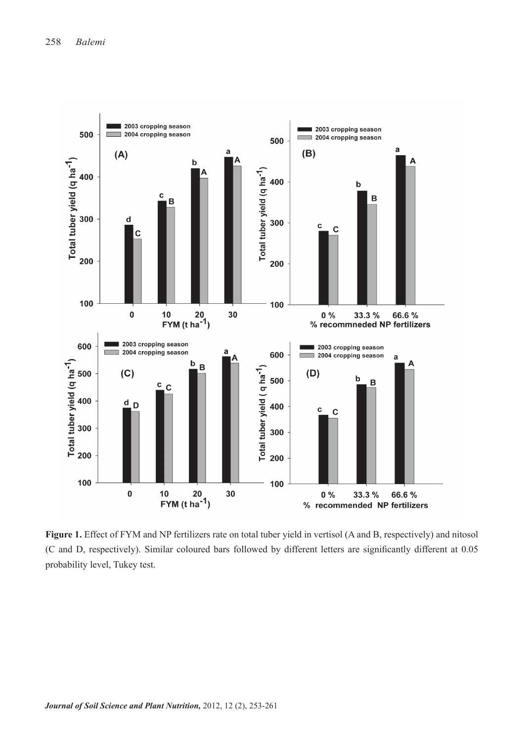

**Figure 1.** Effect of FYM and NP fertilizers rate on total tuber yield in vertisol (A and B, respectively) and nitosol (C and D, respectively). Similar coloured bars followed by different letters are significantly different at 0.05 probability level, Tukey test.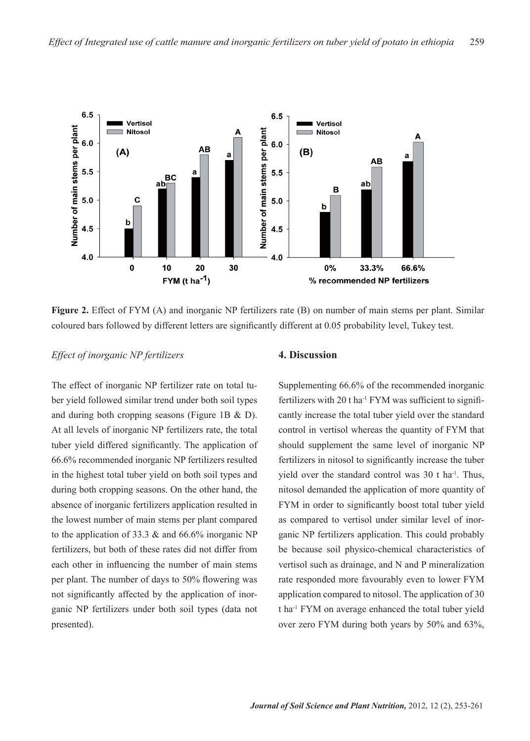

**Figure 2.** Effect of FYM (A) and inorganic NP fertilizers rate (B) on number of main stems per plant. Similar coloured bars followed by different letters are significantly different at 0.05 probability level, Tukey test.

#### *Effect of inorganic NP fertilizers*

The effect of inorganic NP fertilizer rate on total tuber yield followed similar trend under both soil types and during both cropping seasons (Figure 1B & D). At all levels of inorganic NP fertilizers rate, the total tuber yield differed significantly. The application of 66.6% recommended inorganic NP fertilizers resulted in the highest total tuber yield on both soil types and during both cropping seasons. On the other hand, the absence of inorganic fertilizers application resulted in the lowest number of main stems per plant compared to the application of 33.3  $\&$  and 66.6% inorganic NP fertilizers, but both of these rates did not differ from each other in influencing the number of main stems per plant. The number of days to 50% flowering was not significantly affected by the application of inorganic NP fertilizers under both soil types (data not presented).

#### **4. Discussion**

Supplementing 66.6% of the recommended inorganic fertilizers with  $20$  t ha<sup>-1</sup> FYM was sufficient to significantly increase the total tuber yield over the standard control in vertisol whereas the quantity of FYM that should supplement the same level of inorganic NP fertilizers in nitosol to significantly increase the tuber yield over the standard control was  $30$  t ha<sup>-1</sup>. Thus, nitosol demanded the application of more quantity of FYM in order to significantly boost total tuber yield as compared to vertisol under similar level of inorganic NP fertilizers application. This could probably be because soil physico-chemical characteristics of vertisol such as drainage, and N and P mineralization rate responded more favourably even to lower FYM application compared to nitosol. The application of 30 t ha-1 FYM on average enhanced the total tuber yield over zero FYM during both years by 50% and 63%,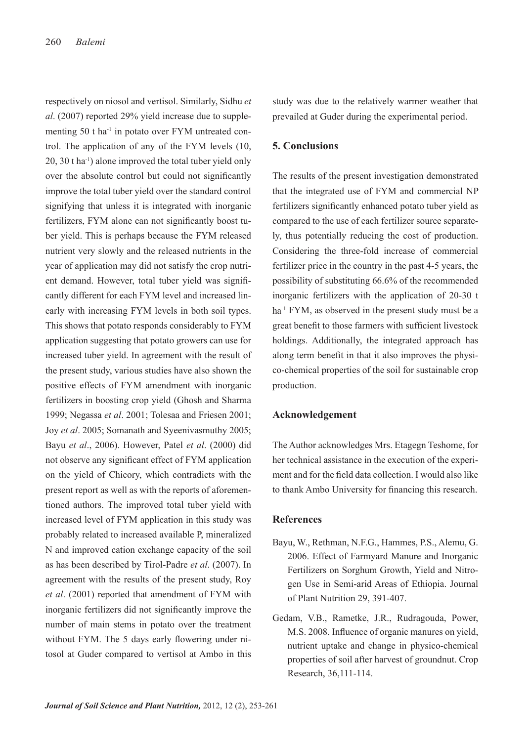respectively on niosol and vertisol. Similarly, Sidhu *et al*. (2007) reported 29% yield increase due to supplementing 50 t ha<sup>-1</sup> in potato over FYM untreated control. The application of any of the FYM levels (10, 20, 30 t ha-1) alone improved the total tuber yield only over the absolute control but could not significantly improve the total tuber yield over the standard control signifying that unless it is integrated with inorganic fertilizers, FYM alone can not significantly boost tuber yield. This is perhaps because the FYM released nutrient very slowly and the released nutrients in the year of application may did not satisfy the crop nutrient demand. However, total tuber yield was significantly different for each FYM level and increased linearly with increasing FYM levels in both soil types. This shows that potato responds considerably to FYM application suggesting that potato growers can use for increased tuber yield. In agreement with the result of the present study, various studies have also shown the positive effects of FYM amendment with inorganic fertilizers in boosting crop yield (Ghosh and Sharma 1999; Negassa *et al*. 2001; Tolesaa and Friesen 2001; Joy *et al*. 2005; Somanath and Syeenivasmuthy 2005; Bayu *et al*., 2006). However, Patel *et al*. (2000) did not observe any significant effect of FYM application on the yield of Chicory, which contradicts with the present report as well as with the reports of aforementioned authors. The improved total tuber yield with increased level of FYM application in this study was probably related to increased available P, mineralized N and improved cation exchange capacity of the soil as has been described by Tirol-Padre *et al*. (2007). In agreement with the results of the present study, Roy *et al*. (2001) reported that amendment of FYM with inorganic fertilizers did not significantly improve the number of main stems in potato over the treatment without FYM. The 5 days early flowering under nitosol at Guder compared to vertisol at Ambo in this study was due to the relatively warmer weather that prevailed at Guder during the experimental period.

### **5. Conclusions**

The results of the present investigation demonstrated that the integrated use of FYM and commercial NP fertilizers significantly enhanced potato tuber yield as compared to the use of each fertilizer source separately, thus potentially reducing the cost of production. Considering the three-fold increase of commercial fertilizer price in the country in the past 4-5 years, the possibility of substituting 66.6% of the recommended inorganic fertilizers with the application of 20-30 t ha<sup>-1</sup> FYM, as observed in the present study must be a great benefit to those farmers with sufficient livestock holdings. Additionally, the integrated approach has along term benefit in that it also improves the physico-chemical properties of the soil for sustainable crop production.

# **Acknowledgement**

The Author acknowledges Mrs. Etagegn Teshome, for her technical assistance in the execution of the experiment and for the field data collection. I would also like to thank Ambo University for financing this research.

### **References**

- Bayu, W., Rethman, N.F.G., Hammes, P.S., Alemu, G. 2006. Effect of Farmyard Manure and Inorganic Fertilizers on Sorghum Growth, Yield and Nitrogen Use in Semi-arid Areas of Ethiopia. Journal of Plant Nutrition 29, 391-407.
- Gedam, V.B., Rametke, J.R., Rudragouda, Power, M.S. 2008. Influence of organic manures on yield, nutrient uptake and change in physico-chemical properties of soil after harvest of groundnut. Crop Research, 36,111-114.